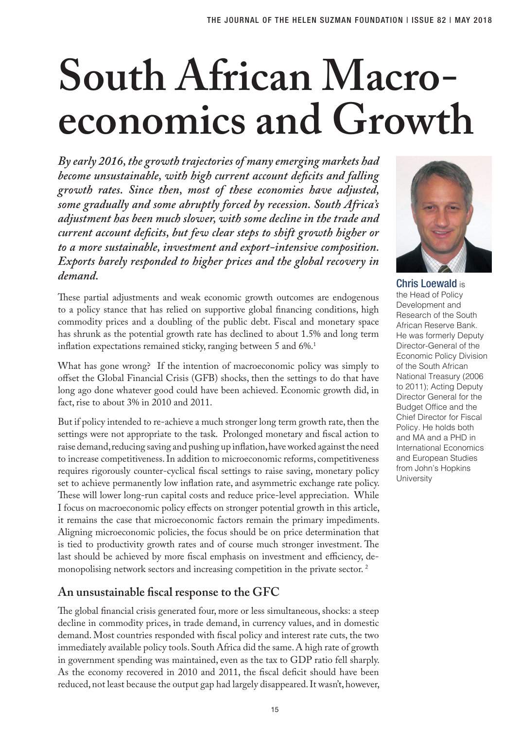# **South African Macroeconomics and Growth**

*By early 2016, the growth trajectories of many emerging markets had become unsustainable, with high current account deficits and falling growth rates. Since then, most of these economies have adjusted, some gradually and some abruptly forced by recession. South Africa's adjustment has been much slower, with some decline in the trade and current account deficits, but few clear steps to shift growth higher or to a more sustainable, investment and export-intensive composition. Exports barely responded to higher prices and the global recovery in demand.*

These partial adjustments and weak economic growth outcomes are endogenous to a policy stance that has relied on supportive global financing conditions, high commodity prices and a doubling of the public debt. Fiscal and monetary space has shrunk as the potential growth rate has declined to about 1.5% and long term inflation expectations remained sticky, ranging between 5 and  $6\%.$ <sup>1</sup>

What has gone wrong? If the intention of macroeconomic policy was simply to offset the Global Financial Crisis (GFB) shocks, then the settings to do that have long ago done whatever good could have been achieved. Economic growth did, in fact, rise to about 3% in 2010 and 2011.

But if policy intended to re-achieve a much stronger long term growth rate, then the settings were not appropriate to the task. Prolonged monetary and fiscal action to raise demand, reducing saving and pushing up inflation, have worked against the need to increase competitiveness. In addition to microeconomic reforms, competitiveness requires rigorously counter-cyclical fiscal settings to raise saving, monetary policy set to achieve permanently low inflation rate, and asymmetric exchange rate policy. These will lower long-run capital costs and reduce price-level appreciation. While I focus on macroeconomic policy effects on stronger potential growth in this article, it remains the case that microeconomic factors remain the primary impediments. Aligning microeconomic policies, the focus should be on price determination that is tied to productivity growth rates and of course much stronger investment. The last should be achieved by more fiscal emphasis on investment and efficiency, demonopolising network sectors and increasing competition in the private sector. 2

## **An unsustainable fiscal response to the GFC**

The global financial crisis generated four, more or less simultaneous, shocks: a steep decline in commodity prices, in trade demand, in currency values, and in domestic demand. Most countries responded with fiscal policy and interest rate cuts, the two immediately available policy tools. South Africa did the same. A high rate of growth in government spending was maintained, even as the tax to GDP ratio fell sharply. As the economy recovered in 2010 and 2011, the fiscal deficit should have been reduced, not least because the output gap had largely disappeared. It wasn't, however,



Chris Loewald is the Head of Policy Development and Research of the South African Reserve Bank. He was formerly Deputy Director-General of the Economic Policy Division of the South African National Treasury (2006 to 2011); Acting Deputy Director General for the Budget Office and the Chief Director for Fiscal Policy. He holds both and MA and a PHD in International Economics and European Studies from John's Hopkins **University**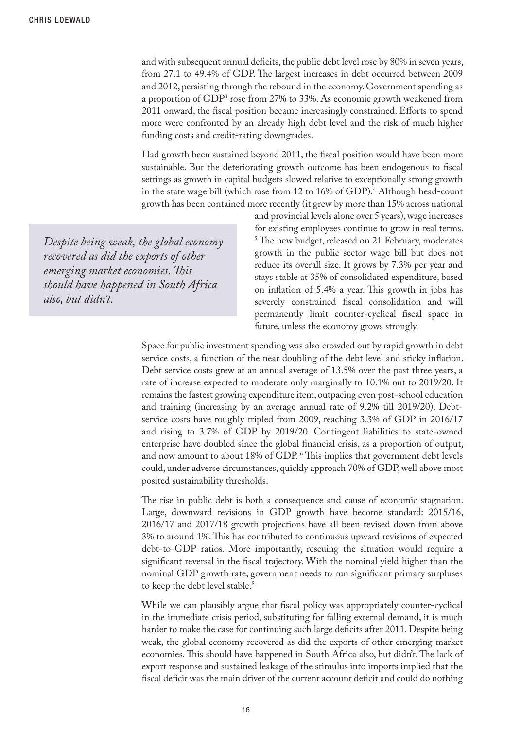and with subsequent annual deficits, the public debt level rose by 80% in seven years, from 27.1 to 49.4% of GDP. The largest increases in debt occurred between 2009 and 2012, persisting through the rebound in the economy. Government spending as a proportion of GDP<sup>3</sup> rose from 27% to 33%. As economic growth weakened from 2011 onward, the fiscal position became increasingly constrained. Efforts to spend more were confronted by an already high debt level and the risk of much higher funding costs and credit-rating downgrades.

Had growth been sustained beyond 2011, the fiscal position would have been more sustainable. But the deteriorating growth outcome has been endogenous to fiscal settings as growth in capital budgets slowed relative to exceptionally strong growth in the state wage bill (which rose from 12 to 16% of GDP).4 Although head-count growth has been contained more recently (it grew by more than 15% across national

*Despite being weak, the global economy recovered as did the exports of other emerging market economies. This should have happened in South Africa also, but didn't.* 

and provincial levels alone over 5 years), wage increases for existing employees continue to grow in real terms. <sup>5</sup>The new budget, released on 21 February, moderates growth in the public sector wage bill but does not reduce its overall size. It grows by 7.3% per year and stays stable at 35% of consolidated expenditure, based on inflation of 5.4% a year. This growth in jobs has severely constrained fiscal consolidation and will permanently limit counter-cyclical fiscal space in future, unless the economy grows strongly.

Space for public investment spending was also crowded out by rapid growth in debt service costs, a function of the near doubling of the debt level and sticky inflation. Debt service costs grew at an annual average of 13.5% over the past three years, a rate of increase expected to moderate only marginally to 10.1% out to 2019/20. It remains the fastest growing expenditure item, outpacing even post-school education and training (increasing by an average annual rate of 9.2% till 2019/20). Debtservice costs have roughly tripled from 2009, reaching 3.3% of GDP in 2016/17 and rising to 3.7% of GDP by 2019/20. Contingent liabilities to state-owned enterprise have doubled since the global financial crisis, as a proportion of output, and now amount to about 18% of GDP. 6 This implies that government debt levels could, under adverse circumstances, quickly approach 70% of GDP, well above most posited sustainability thresholds.

The rise in public debt is both a consequence and cause of economic stagnation. Large, downward revisions in GDP growth have become standard: 2015/16, 2016/17 and 2017/18 growth projections have all been revised down from above 3% to around 1%. This has contributed to continuous upward revisions of expected debt-to-GDP ratios. More importantly, rescuing the situation would require a significant reversal in the fiscal trajectory. With the nominal yield higher than the nominal GDP growth rate, government needs to run significant primary surpluses to keep the debt level stable.<sup>8</sup>

While we can plausibly argue that fiscal policy was appropriately counter-cyclical in the immediate crisis period, substituting for falling external demand, it is much harder to make the case for continuing such large deficits after 2011. Despite being weak, the global economy recovered as did the exports of other emerging market economies. This should have happened in South Africa also, but didn't. The lack of export response and sustained leakage of the stimulus into imports implied that the fiscal deficit was the main driver of the current account deficit and could do nothing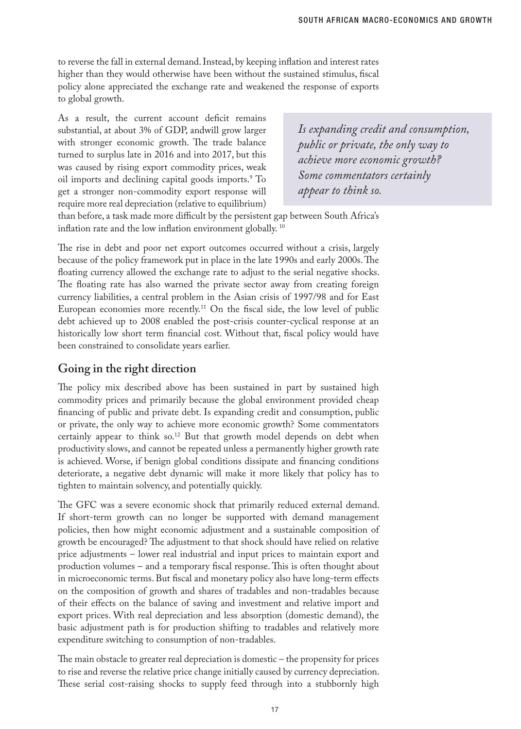to reverse the fall in external demand. Instead, by keeping inflation and interest rates higher than they would otherwise have been without the sustained stimulus, fiscal policy alone appreciated the exchange rate and weakened the response of exports to global growth.

As a result, the current account deficit remains substantial, at about 3% of GDP, andwill grow larger with stronger economic growth. The trade balance turned to surplus late in 2016 and into 2017, but this was caused by rising export commodity prices, weak oil imports and declining capital goods imports.9 To get a stronger non-commodity export response will require more real depreciation (relative to equilibrium)

*Is expanding credit and consumption, public or private, the only way to achieve more economic growth? Some commentators certainly appear to think so.*

than before, a task made more difficult by the persistent gap between South Africa's inflation rate and the low inflation environment globally.<sup>10</sup>

The rise in debt and poor net export outcomes occurred without a crisis, largely because of the policy framework put in place in the late 1990s and early 2000s. The floating currency allowed the exchange rate to adjust to the serial negative shocks. The floating rate has also warned the private sector away from creating foreign currency liabilities, a central problem in the Asian crisis of 1997/98 and for East European economies more recently.11 On the fiscal side, the low level of public debt achieved up to 2008 enabled the post-crisis counter-cyclical response at an historically low short term financial cost. Without that, fiscal policy would have been constrained to consolidate years earlier.

## **Going in the right direction**

The policy mix described above has been sustained in part by sustained high commodity prices and primarily because the global environment provided cheap financing of public and private debt. Is expanding credit and consumption, public or private, the only way to achieve more economic growth? Some commentators certainly appear to think so.<sup>12</sup> But that growth model depends on debt when productivity slows, and cannot be repeated unless a permanently higher growth rate is achieved. Worse, if benign global conditions dissipate and financing conditions deteriorate, a negative debt dynamic will make it more likely that policy has to tighten to maintain solvency, and potentially quickly.

The GFC was a severe economic shock that primarily reduced external demand. If short-term growth can no longer be supported with demand management policies, then how might economic adjustment and a sustainable composition of growth be encouraged? The adjustment to that shock should have relied on relative price adjustments – lower real industrial and input prices to maintain export and production volumes – and a temporary fiscal response. This is often thought about in microeconomic terms. But fiscal and monetary policy also have long-term effects on the composition of growth and shares of tradables and non-tradables because of their effects on the balance of saving and investment and relative import and export prices. With real depreciation and less absorption (domestic demand), the basic adjustment path is for production shifting to tradables and relatively more expenditure switching to consumption of non-tradables.

The main obstacle to greater real depreciation is domestic – the propensity for prices to rise and reverse the relative price change initially caused by currency depreciation. These serial cost-raising shocks to supply feed through into a stubbornly high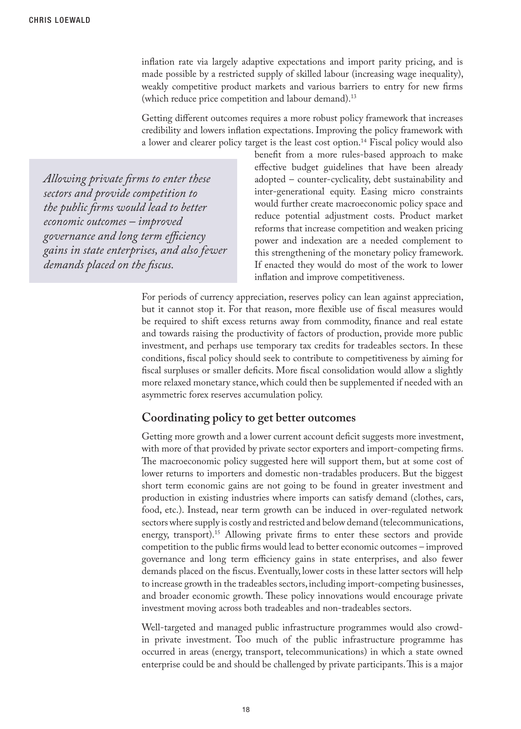inflation rate via largely adaptive expectations and import parity pricing, and is made possible by a restricted supply of skilled labour (increasing wage inequality), weakly competitive product markets and various barriers to entry for new firms (which reduce price competition and labour demand).<sup>13</sup>

Getting different outcomes requires a more robust policy framework that increases credibility and lowers inflation expectations. Improving the policy framework with a lower and clearer policy target is the least cost option.<sup>14</sup> Fiscal policy would also

*Allowing private firms to enter these sectors and provide competition to the public firms would lead to better economic outcomes – improved governance and long term efficiency gains in state enterprises, and also fewer demands placed on the fiscus.* 

benefit from a more rules-based approach to make effective budget guidelines that have been already adopted – counter-cyclicality, debt sustainability and inter-generational equity. Easing micro constraints would further create macroeconomic policy space and reduce potential adjustment costs. Product market reforms that increase competition and weaken pricing power and indexation are a needed complement to this strengthening of the monetary policy framework. If enacted they would do most of the work to lower inflation and improve competitiveness.

For periods of currency appreciation, reserves policy can lean against appreciation, but it cannot stop it. For that reason, more flexible use of fiscal measures would be required to shift excess returns away from commodity, finance and real estate and towards raising the productivity of factors of production, provide more public investment, and perhaps use temporary tax credits for tradeables sectors. In these conditions, fiscal policy should seek to contribute to competitiveness by aiming for fiscal surpluses or smaller deficits. More fiscal consolidation would allow a slightly more relaxed monetary stance, which could then be supplemented if needed with an asymmetric forex reserves accumulation policy.

## **Coordinating policy to get better outcomes**

Getting more growth and a lower current account deficit suggests more investment, with more of that provided by private sector exporters and import-competing firms. The macroeconomic policy suggested here will support them, but at some cost of lower returns to importers and domestic non-tradables producers. But the biggest short term economic gains are not going to be found in greater investment and production in existing industries where imports can satisfy demand (clothes, cars, food, etc.). Instead, near term growth can be induced in over-regulated network sectors where supply is costly and restricted and below demand (telecommunications, energy, transport).<sup>15</sup> Allowing private firms to enter these sectors and provide competition to the public firms would lead to better economic outcomes – improved governance and long term efficiency gains in state enterprises, and also fewer demands placed on the fiscus. Eventually, lower costs in these latter sectors will help to increase growth in the tradeables sectors, including import-competing businesses, and broader economic growth. These policy innovations would encourage private investment moving across both tradeables and non-tradeables sectors.

Well-targeted and managed public infrastructure programmes would also crowdin private investment. Too much of the public infrastructure programme has occurred in areas (energy, transport, telecommunications) in which a state owned enterprise could be and should be challenged by private participants. This is a major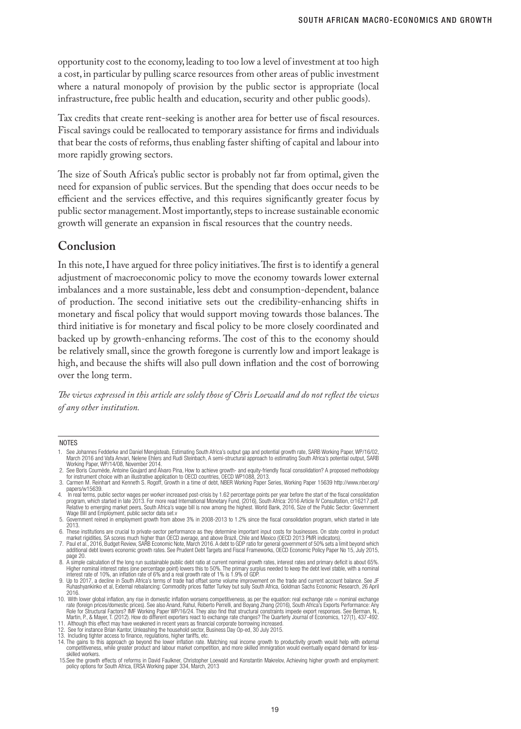opportunity cost to the economy, leading to too low a level of investment at too high a cost, in particular by pulling scarce resources from other areas of public investment where a natural monopoly of provision by the public sector is appropriate (local infrastructure, free public health and education, security and other public goods).

Tax credits that create rent-seeking is another area for better use of fiscal resources. Fiscal savings could be reallocated to temporary assistance for firms and individuals that bear the costs of reforms, thus enabling faster shifting of capital and labour into more rapidly growing sectors.

The size of South Africa's public sector is probably not far from optimal, given the need for expansion of public services. But the spending that does occur needs to be efficient and the services effective, and this requires significantly greater focus by public sector management. Most importantly, steps to increase sustainable economic growth will generate an expansion in fiscal resources that the country needs.

#### **Conclusion**

In this note, I have argued for three policy initiatives. The first is to identify a general adjustment of macroeconomic policy to move the economy towards lower external imbalances and a more sustainable, less debt and consumption-dependent, balance of production. The second initiative sets out the credibility-enhancing shifts in monetary and fiscal policy that would support moving towards those balances. The third initiative is for monetary and fiscal policy to be more closely coordinated and backed up by growth-enhancing reforms. The cost of this to the economy should be relatively small, since the growth foregone is currently low and import leakage is high, and because the shifts will also pull down inflation and the cost of borrowing over the long term.

*The views expressed in this article are solely those of Chris Loewald and do not reflect the views of any other institution.*

#### **NOTES**

<sup>1.</sup> See Johannes Fedderke and Daniel Mengisteab, Estimating South Africa's output gap and potential growth rate, SARB Working Paper, WP/16/02, March 2016 and Vafa Anvari, Nelene Ehlers and Rudi Steinbach, A semi-structural approach to estimating South Africa's potential output, SARB Working Paper, WP/14/08, November 2014.

<sup>2.</sup> See Boris Cournède, Antoine Goujard and Álvaro Pina, How to achieve growth- and equity-friendly fiscal consolidation? A proposed methodology<br>for instrument choice with an illustrative application to OECD countries, OECD

<sup>3.</sup> Carmen M. Reinhart and Kenneth S. Rogoff, Growth in a time of debt, NBER Working Paper Series, Working Paper 15639 http://www.nber.org/

papers/w15639.<br>Pin real terms, public sector wages per worker increased post-crisis by 1.62 percentage points per year before the start of the fiscal consolidation.<br>Program, which started in late 2013. For more read Intern Relative to emerging market peers, South Africa's wage bill is now among the highest. World Bank, 2016, Size of the Public Sector: Government<br>Wage Bill and Employment. public sector data set.v

B. Government reined in employment growth from above 3% in 2008-2013 to 1.2% since the fiscal consolidation program, which started in late<br>2013. 2013. 6. These institutions are crucial to private-sector performance as they determine important input costs for businesses. On state control in product

market rigidities, SA scores much higher than OECD average, and above Brazil, Chile and Mexico (OECD 2013 PMR indicators).<br>7. Paul et al., 2016, Budget Review, SARB Economic Note, March 2016. A debt to GDP ratio for genera

additional debt lowers economic growth rates. See Prudent Debt Targets and Fiscal Frameworks, OECD Economic Policy Paper No 15, July 2015,

page 20. 8. A simple calculation of the long run sustainable public debt ratio at current nominal growth rates, interest rates and primary deficit is about 65%. Higher nominal interest rates (one percentage point) lowers this to 50%. The primary surplus needed to keep the debt level stable, with a nominal<br>interest rate of 10%, an inflation rate of 6% and a real growth rate of 1% i

Ruhashyankinko et al, External rebalancing: Commodity prices flatter Turkey but sully South Africa, Goldman Sachs Economic Research, 26 April 2016.

<sup>10.</sup> With lower global inflation, any rise in domestic inflation worsens competitiveness, as per the equation: real exchange rate = nominal exchange<br>rate (foreign prices/domestic prices). See also Anand, Rahul, Roberto Perr Role for Structural Factors? IMF Working Paper WP/16/24. They also find that structural constraints impede export responses. See Berman, N.,<br>Martin, P., & Mayer, T. (2012). How do different exporters react to exchange rate

<sup>11.</sup> Although this effect may have weakened in recent years as financial corporate borrowing increased. 12. See for instance Brian Kantor, Unleashing the household sector, Business Day Op-ed, 30 July 2015.

<sup>13.</sup> Including tighter access to finance, regulations, higher tariffs, etc. 14. The gains to this approach go beyond the lower inflation rate. Matching real income growth to productivity growth would help with external competitiveness, while greater product and labour market competition, and more skilled immigration would eventually expand demand for lessskilled workers.

 <sup>15.</sup>See the growth effects of reforms in David Faulkner, Christopher Loewald and Konstantin Makrelov, Achieving higher growth and employment: policy options for South Africa, ERSA Working paper 334, March, 2013